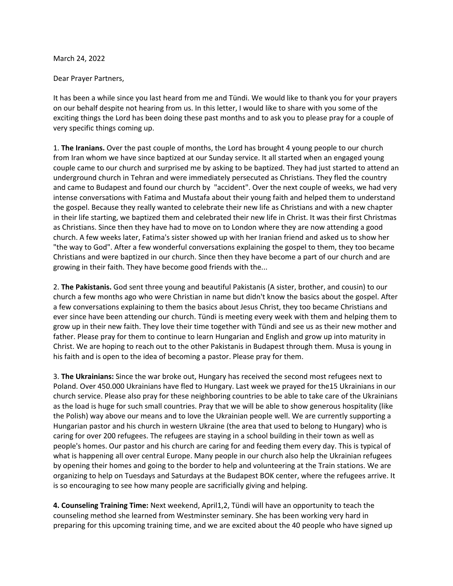March 24, 2022

Dear Prayer Partners,

It has been a while since you last heard from me and Tündi. We would like to thank you for your prayers on our behalf despite not hearing from us. In this letter, I would like to share with you some of the exciting things the Lord has been doing these past months and to ask you to please pray for a couple of very specific things coming up.

1. **The Iranians.** Over the past couple of months, the Lord has brought 4 young people to our church from Iran whom we have since baptized at our Sunday service. It all started when an engaged young couple came to our church and surprised me by asking to be baptized. They had just started to attend an underground church in Tehran and were immediately persecuted as Christians. They fled the country and came to Budapest and found our church by "accident". Over the next couple of weeks, we had very intense conversations with Fatima and Mustafa about their young faith and helped them to understand the gospel. Because they really wanted to celebrate their new life as Christians and with a new chapter in their life starting, we baptized them and celebrated their new life in Christ. It was their first Christmas as Christians. Since then they have had to move on to London where they are now attending a good church. A few weeks later, Fatima's sister showed up with her Iranian friend and asked us to show her "the way to God". After a few wonderful conversations explaining the gospel to them, they too became Christians and were baptized in our church. Since then they have become a part of our church and are growing in their faith. They have become good friends with the...

2. **The Pakistanis.** God sent three young and beautiful Pakistanis (A sister, brother, and cousin) to our church a few months ago who were Christian in name but didn't know the basics about the gospel. After a few conversations explaining to them the basics about Jesus Christ, they too became Christians and ever since have been attending our church. Tündi is meeting every week with them and helping them to grow up in their new faith. They love their time together with Tündi and see us as their new mother and father. Please pray for them to continue to learn Hungarian and English and grow up into maturity in Christ. We are hoping to reach out to the other Pakistanis in Budapest through them. Musa is young in his faith and is open to the idea of becoming a pastor. Please pray for them.

3. **The Ukrainians:** Since the war broke out, Hungary has received the second most refugees next to Poland. Over 450.000 Ukrainians have fled to Hungary. Last week we prayed for the15 Ukrainians in our church service. Please also pray for these neighboring countries to be able to take care of the Ukrainians as the load is huge for such small countries. Pray that we will be able to show generous hospitality (like the Polish) way above our means and to love the Ukrainian people well. We are currently supporting a Hungarian pastor and his church in western Ukraine (the area that used to belong to Hungary) who is caring for over 200 refugees. The refugees are staying in a school building in their town as well as people's homes. Our pastor and his church are caring for and feeding them every day. This is typical of what is happening all over central Europe. Many people in our church also help the Ukrainian refugees by opening their homes and going to the border to help and volunteering at the Train stations. We are organizing to help on Tuesdays and Saturdays at the Budapest BOK center, where the refugees arrive. It is so encouraging to see how many people are sacrificially giving and helping.

**4. Counseling Training Time:** Next weekend, April1,2, Tündi will have an opportunity to teach the counseling method she learned from Westminster seminary. She has been working very hard in preparing for this upcoming training time, and we are excited about the 40 people who have signed up